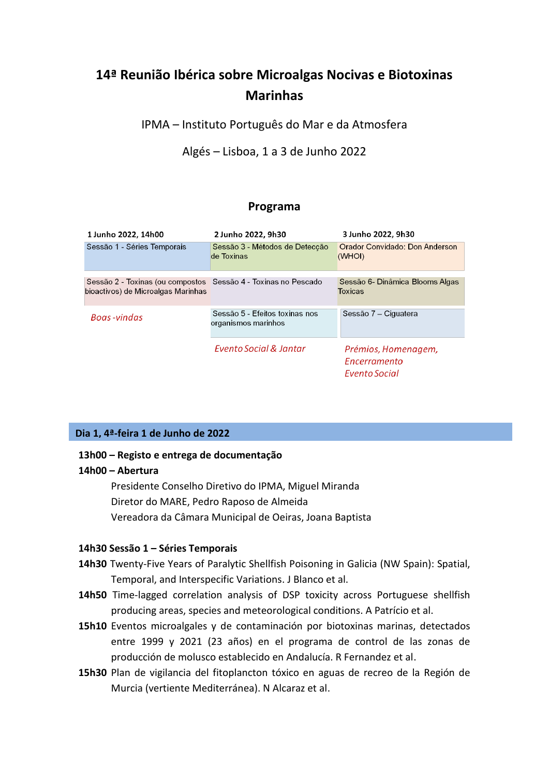# **14ª Reunião Ibérica sobre Microalgas Nocivas e Biotoxinas Marinhas**

IPMA – Instituto Português do Mar e da Atmosfera

Algés – Lisboa, 1 a 3 de Junho 2022

# **Programa**

| 1 Junho 2022, 14h00                                            | 2 Junho 2022, 9h30                                    | 3 Junho 2022, 9h30                                                 |
|----------------------------------------------------------------|-------------------------------------------------------|--------------------------------------------------------------------|
| Sessão 1 - Séries Temporais                                    | Sessão 3 - Métodos de Detecção<br>de Toxinas          | <b>Orador Convidado: Don Anderson</b><br>(WHOI)                    |
| Sessão 2 - Toxinas (ou compostos Sessão 4 - Toxinas no Pescado |                                                       | Sessão 6- Dinâmica Blooms Algas                                    |
| bioactivos) de Microalgas Marinhas                             |                                                       | <b>Toxicas</b>                                                     |
| Boas-vindas                                                    | Sessão 5 - Efeitos toxinas nos<br>organismos marinhos | Sessão 7 – Ciguatera                                               |
|                                                                | Evento Social & Jantar                                | Prémios, Homenagem,<br><i><u>Encerramento</u></i><br>Evento Social |

# **Dia 1, 4ª-feira 1 de Junho de 2022**

## **13h00 – Registo e entrega de documentação**

## **14h00 – Abertura**

Presidente Conselho Diretivo do IPMA, Miguel Miranda Diretor do MARE, Pedro Raposo de Almeida Vereadora da Câmara Municipal de Oeiras, Joana Baptista

#### **14h30 Sessão 1 – Séries Temporais**

- **14h30** Twenty-Five Years of Paralytic Shellfish Poisoning in Galicia (NW Spain): Spatial, Temporal, and Interspecific Variations. J Blanco et al.
- **14h50** Time-lagged correlation analysis of DSP toxicity across Portuguese shellfish producing areas, species and meteorological conditions. A Patrício et al.
- **15h10** Eventos microalgales y de contaminación por biotoxinas marinas, detectados entre 1999 y 2021 (23 años) en el programa de control de las zonas de producción de molusco establecido en Andalucía. R Fernandez et al.
- **15h30** Plan de vigilancia del fitoplancton tóxico en aguas de recreo de la Región de Murcia (vertiente Mediterránea). N Alcaraz et al.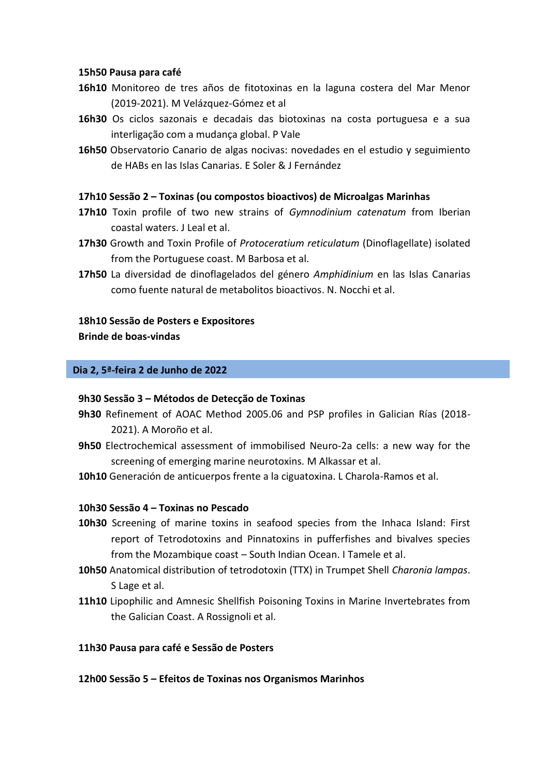## **15h50 Pausa para café**

- **16h10** Monitoreo de tres años de fitotoxinas en la laguna costera del Mar Menor (2019-2021). M Velázquez-Gómez et al
- **16h30** Os ciclos sazonais e decadais das biotoxinas na costa portuguesa e a sua interligação com a mudança global. P Vale
- **16h50** Observatorio Canario de algas nocivas: novedades en el estudio y seguimiento de HABs en las Islas Canarias. E Soler & J Fernández

# **17h10 Sessão 2 – Toxinas (ou compostos bioactivos) de Microalgas Marinhas**

- **17h10** Toxin profile of two new strains of *Gymnodinium catenatum* from Iberian coastal waters. J Leal et al.
- **17h30** Growth and Toxin Profile of *Protoceratium reticulatum* (Dinoflagellate) isolated from the Portuguese coast. M Barbosa et al.
- **17h50** La diversidad de dinoflagelados del género *Amphidinium* en las Islas Canarias como fuente natural de metabolitos bioactivos. N. Nocchi et al.

## **18h10 Sessão de Posters e Expositores**

**Brinde de boas-vindas**

## **Dia 2, 5ª-feira 2 de Junho de 2022**

#### **9h30 Sessão 3 – Métodos de Detecção de Toxinas**

- **9h30** Refinement of AOAC Method 2005.06 and PSP profiles in Galician Rías (2018- 2021). A Moroño et al.
- **9h50** Electrochemical assessment of immobilised Neuro-2a cells: a new way for the screening of emerging marine neurotoxins. M Alkassar et al.
- **10h10** Generación de anticuerpos frente a la ciguatoxina. L Charola-Ramos et al.

# **10h30 Sessão 4 – Toxinas no Pescado**

- **10h30** Screening of marine toxins in seafood species from the Inhaca Island: First report of Tetrodotoxins and Pinnatoxins in pufferfishes and bivalves species from the Mozambique coast – South Indian Ocean. I Tamele et al.
- **10h50** Anatomical distribution of tetrodotoxin (TTX) in Trumpet Shell *Charonia lampas*. S Lage et al.
- **11h10** Lipophilic and Amnesic Shellfish Poisoning Toxins in Marine Invertebrates from the Galician Coast. A Rossignoli et al.

#### **11h30 Pausa para café e Sessão de Posters**

**12h00 Sessão 5 – Efeitos de Toxinas nos Organismos Marinhos**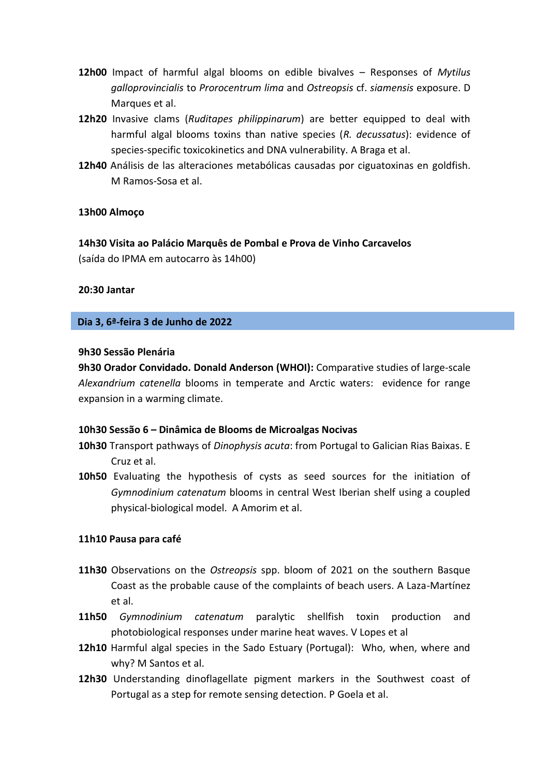- **12h00** Impact of harmful algal blooms on edible bivalves Responses of *Mytilus galloprovincialis* to *Prorocentrum lima* and *Ostreopsis* cf. *siamensis* exposure. D Marques et al.
- **12h20** Invasive clams (*Ruditapes philippinarum*) are better equipped to deal with harmful algal blooms toxins than native species (*R. decussatus*): evidence of species-specific toxicokinetics and DNA vulnerability. A Braga et al.
- **12h40** Análisis de las alteraciones metabólicas causadas por ciguatoxinas en goldfish. M Ramos-Sosa et al.

## **13h00 Almoço**

**14h30 Visita ao Palácio Marquês de Pombal e Prova de Vinho Carcavelos**  (saída do IPMA em autocarro às 14h00)

## **20:30 Jantar**

## **Dia 3, 6ª-feira 3 de Junho de 2022**

# **9h30 Sessão Plenária**

**9h30 Orador Convidado. Donald Anderson (WHOI):** Comparative studies of large-scale *Alexandrium catenella* blooms in temperate and Arctic waters: evidence for range expansion in a warming climate.

## **10h30 Sessão 6 – Dinâmica de Blooms de Microalgas Nocivas**

- **10h30** Transport pathways of *Dinophysis acuta*: from Portugal to Galician Rias Baixas. E Cruz et al.
- **10h50** Evaluating the hypothesis of cysts as seed sources for the initiation of *Gymnodinium catenatum* blooms in central West Iberian shelf using a coupled physical-biological model. A Amorim et al.

#### **11h10 Pausa para café**

- **11h30** Observations on the *Ostreopsis* spp. bloom of 2021 on the southern Basque Coast as the probable cause of the complaints of beach users. A Laza-Martínez et al.
- **11h50** *Gymnodinium catenatum* paralytic shellfish toxin production and photobiological responses under marine heat waves. V Lopes et al
- **12h10** Harmful algal species in the Sado Estuary (Portugal): Who, when, where and why? M Santos et al.
- **12h30** Understanding dinoflagellate pigment markers in the Southwest coast of Portugal as a step for remote sensing detection. P Goela et al.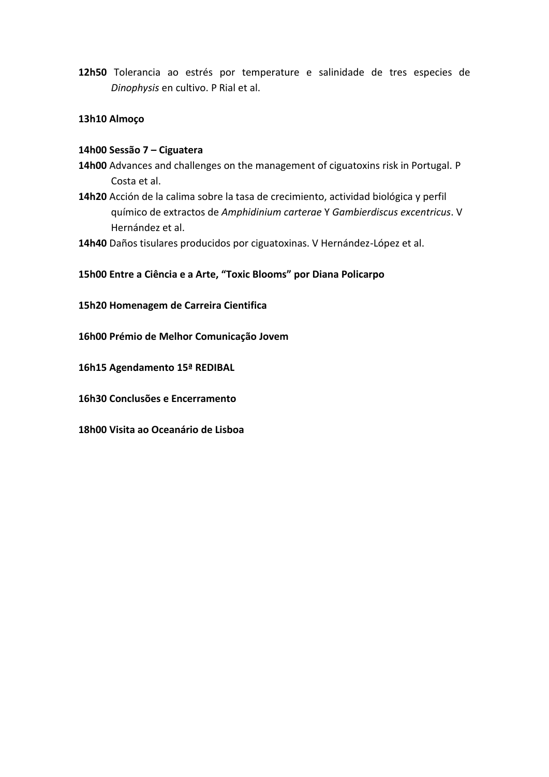**12h50** Tolerancia ao estrés por temperature e salinidade de tres especies de *Dinophysis* en cultivo. P Rial et al.

# **13h10 Almoço**

# **14h00 Sessão 7 – Ciguatera**

- **14h00** Advances and challenges on the management of ciguatoxins risk in Portugal. P Costa et al.
- **14h20** Acción de la calima sobre la tasa de crecimiento, actividad biológica y perfil químico de extractos de *Amphidinium carterae* Y *Gambierdiscus excentricus*. V Hernández et al.
- **14h40** Daños tisulares producidos por ciguatoxinas. V Hernández-López et al.

# **15h00 Entre a Ciência e a Arte, "Toxic Blooms" por Diana Policarpo**

**15h20 Homenagem de Carreira Cientifica**

- **16h00 Prémio de Melhor Comunicação Jovem**
- **16h15 Agendamento 15ª REDIBAL**
- **16h30 Conclusões e Encerramento**
- **18h00 Visita ao Oceanário de Lisboa**